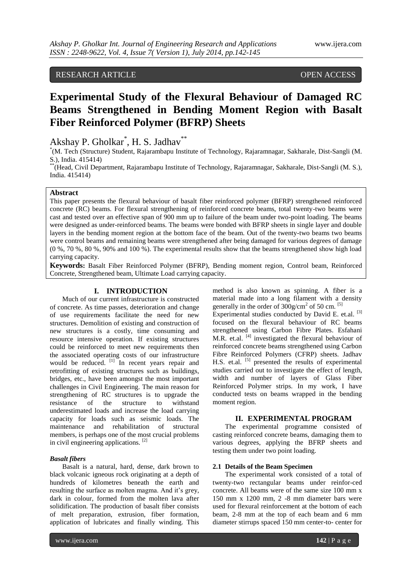# RESEARCH ARTICLE OPEN ACCESS

# **Experimental Study of the Flexural Behaviour of Damaged RC Beams Strengthened in Bending Moment Region with Basalt Fiber Reinforced Polymer (BFRP) Sheets**

Akshay P. Gholkar<sup>\*</sup>, H. S. Jadhav<sup>\*\*</sup>

\* (M. Tech (Structure) Student, Rajarambapu Institute of Technology, Rajaramnagar, Sakharale, Dist-Sangli (M. S.), India. 415414)

\*\*(Head, Civil Department, Rajarambapu Institute of Technology, Rajaramnagar, Sakharale, Dist-Sangli (M. S.), India. 415414)

# **Abstract**

This paper presents the flexural behaviour of basalt fiber reinforced polymer (BFRP) strengthened reinforced concrete (RC) beams. For flexural strengthening of reinforced concrete beams, total twenty-two beams were cast and tested over an effective span of 900 mm up to failure of the beam under two-point loading. The beams were designed as under-reinforced beams. The beams were bonded with BFRP sheets in single layer and double layers in the bending moment region at the bottom face of the beam. Out of the twenty-two beams two beams were control beams and remaining beams were strengthened after being damaged for various degrees of damage (0 %, 70 %, 80 %, 90% and 100 %). The experimental results show that the beams strengthened show high load carrying capacity.

**Keywords:** Basalt Fiber Reinforced Polymer (BFRP), Bending moment region, Control beam, Reinforced Concrete, Strengthened beam, Ultimate Load carrying capacity.

## **I. INTRODUCTION**

Much of our current infrastructure is constructed of concrete. As time passes, deterioration and change of use requirements facilitate the need for new structures. Demolition of existing and construction of new structures is a costly, time consuming and resource intensive operation. If existing structures could be reinforced to meet new requirements then the associated operating costs of our infrastructure would be reduced. <sup>[1]</sup> In recent years repair and retrofitting of existing structures such as buildings, bridges, etc., have been amongst the most important challenges in Civil Engineering. The main reason for strengthening of RC structures is to upgrade the resistance of the structure to withstand underestimated loads and increase the load carrying capacity for loads such as seismic loads. The maintenance and rehabilitation of structural members, is perhaps one of the most crucial problems in civil engineering applications. [2]

# *Basalt fibers*

Basalt is a natural, hard, dense, dark brown to black volcanic igneous rock originating at a depth of hundreds of kilometres beneath the earth and resulting the surface as molten magma. And it's grey, dark in colour, formed from the molten lava after solidification. The production of basalt fiber consists of melt preparation, extrusion, fiber formation, application of lubricates and finally winding. This

method is also known as spinning. A fiber is a material made into a long filament with a density generally in the order of  $300$ g/cm<sup>2</sup> of 50 cm.<sup>[5]</sup> Experimental studies conducted by David E. et.al. <sup>[3]</sup> focused on the flexural behaviour of RC beams strengthened using Carbon Fibre Plates. Esfahani M.R. et.al. <sup>[4]</sup> investigated the flexural behaviour of reinforced concrete beams strengthened using Carbon Fibre Reinforced Polymers (CFRP) sheets. Jadhav H.S. et.al. <sup>[5]</sup> presented the results of experimental studies carried out to investigate the effect of length, width and number of layers of Glass Fiber Reinforced Polymer strips. In my work, I have conducted tests on beams wrapped in the bending moment region.

## **II. EXPERIMENTAL PROGRAM**

The experimental programme consisted of casting reinforced concrete beams, damaging them to various degrees, applying the BFRP sheets and testing them under two point loading.

# **2.1 Details of the Beam Specimen**

The experimental work consisted of a total of twenty-two rectangular beams under reinfor-ced concrete. All beams were of the same size 100 mm x 150 mm x 1200 mm, 2 -8 mm diameter bars were used for flexural reinforcement at the bottom of each beam, 2-8 mm at the top of each beam and 6 mm diameter stirrups spaced 150 mm center-to- center for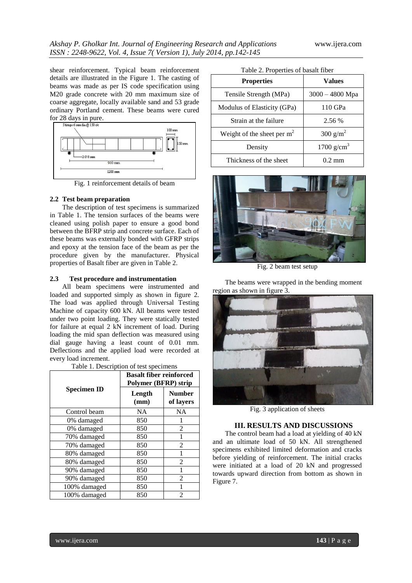shear reinforcement. Typical beam reinforcement details are illustrated in the Figure 1. The casting of beams was made as per IS code specification using M20 grade concrete with 20 mm maximum size of coarse aggregate, locally available sand and 53 grade ordinary Portland cement. These beams were cured for 28 days in pure.



Fig. 1 reinforcement details of beam

# **2.2 Test beam preparation**

The description of test specimens is summarized in Table 1. The tension surfaces of the beams were cleaned using polish paper to ensure a good bond between the BFRP strip and concrete surface. Each of these beams was externally bonded with GFRP strips and epoxy at the tension face of the beam as per the procedure given by the manufacturer. Physical properties of Basalt fiber are given in Table 2.

#### **2.3 Test procedure and instrumentation**

All beam specimens were instrumented and loaded and supported simply as shown in figure 2. The load was applied through Universal Testing Machine of capacity 600 kN. All beams were tested under two point loading. They were statically tested for failure at equal 2 kN increment of load. During loading the mid span deflection was measured using dial gauge having a least count of 0.01 mm. Deflections and the applied load were recorded at every load increment.

Table 1. Description of test specimens

| <b>Specimen ID</b> | <b>Basalt fiber reinforced</b><br><b>Polymer (BFRP) strip</b> |                            |
|--------------------|---------------------------------------------------------------|----------------------------|
|                    | Length<br>(mm)                                                | <b>Number</b><br>of layers |
| Control beam       | <b>NA</b>                                                     | NA                         |
| 0% damaged         | 850                                                           |                            |
| 0% damaged         | 850                                                           | 2                          |
| 70% damaged        | 850                                                           |                            |
| 70% damaged        | 850                                                           | $\mathcal{L}$              |
| 80% damaged        | 850                                                           |                            |
| 80% damaged        | 850                                                           | 2                          |
| 90% damaged        | 850                                                           |                            |
| 90% damaged        | 850                                                           | $\mathfrak{D}$             |
| 100% damaged       | 850                                                           |                            |
| 100% damaged       | 850                                                           | 2                          |

| <b>Properties</b>            | Values               |  |
|------------------------------|----------------------|--|
| Tensile Strength (MPa)       | $3000 - 4800$ Mpa    |  |
| Modulus of Elasticity (GPa)  | 110 GPa              |  |
| Strain at the failure        | 2.56 %               |  |
| Weight of the sheet per $m2$ | 300 g/m <sup>2</sup> |  |
| Density                      | 1700 $g/cm^{3}$      |  |
| Thickness of the sheet       | $0.2 \text{ mm}$     |  |



Fig. 2 beam test setup

The beams were wrapped in the bending moment region as shown in figure 3.



Fig. 3 application of sheets

#### **III. RESULTS AND DISCUSSIONS**

The control beam had a load at yielding of 40 kN and an ultimate load of 50 kN. All strengthened specimens exhibited limited deformation and cracks before yielding of reinforcement. The initial cracks were initiated at a load of 20 kN and progressed towards upward direction from bottom as shown in Figure 7.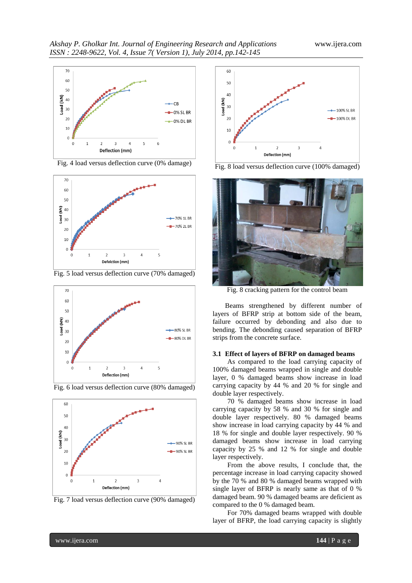

Fig. 4 load versus deflection curve (0% damage)



Fig. 5 load versus deflection curve (70% damaged)











Fig. 8 load versus deflection curve (100% damaged)



Fig. 8 cracking pattern for the control beam

Beams strengthened by different number of layers of BFRP strip at bottom side of the beam, failure occurred by debonding and also due to bending. The debonding caused separation of BFRP strips from the concrete surface.

# **3.1 Effect of layers of BFRP on damaged beams**

As compared to the load carrying capacity of 100% damaged beams wrapped in single and double layer, 0 % damaged beams show increase in load carrying capacity by 44 % and 20 % for single and double layer respectively.

70 % damaged beams show increase in load carrying capacity by 58 % and 30 % for single and double layer respectively. 80 % damaged beams show increase in load carrying capacity by 44 % and 18 % for single and double layer respectively. 90 % damaged beams show increase in load carrying capacity by 25 % and 12 % for single and double layer respectively.

From the above results, I conclude that, the percentage increase in load carrying capacity showed by the 70 % and 80 % damaged beams wrapped with single layer of BFRP is nearly same as that of 0 % damaged beam. 90 % damaged beams are deficient as compared to the 0 % damaged beam.

For 70% damaged beams wrapped with double layer of BFRP, the load carrying capacity is slightly